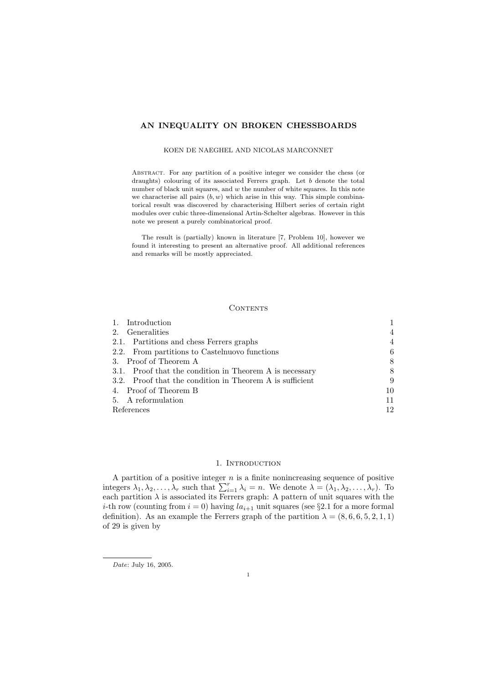## AN INEQUALITY ON BROKEN CHESSBOARDS

### KOEN DE NAEGHEL AND NICOLAS MARCONNET

Abstract. For any partition of a positive integer we consider the chess (or draughts) colouring of its associated Ferrers graph. Let  $b$  denote the total number of black unit squares, and w the number of white squares. In this note we characterise all pairs  $(b, w)$  which arise in this way. This simple combinatorical result was discovered by characterising Hilbert series of certain right modules over cubic three-dimensional Artin-Schelter algebras. However in this note we present a purely combinatorical proof.

The result is (partially) known in literature [7, Problem 10], however we found it interesting to present an alternative proof. All additional references and remarks will be mostly appreciated.

## **CONTENTS**

| Introduction                                             |                |
|----------------------------------------------------------|----------------|
| 2. Generalities                                          | $\overline{4}$ |
| 2.1. Partitions and chess Ferrers graphs                 | 4              |
| 2.2. From partitions to Castelnuovo functions            | 6              |
| 3. Proof of Theorem A                                    | 8              |
| 3.1. Proof that the condition in Theorem A is necessary  | 8              |
| 3.2. Proof that the condition in Theorem A is sufficient | 9              |
| 4. Proof of Theorem B                                    | 10             |
| 5. A reformulation                                       | 11             |
| References                                               | 12             |

## 1. INTRODUCTION

A partition of a positive integer  $n$  is a finite nonincreasing sequence of positive integers  $\lambda_1, \lambda_2, \ldots, \lambda_r$  such that  $\sum_{i=1}^r \lambda_i = n$ . We denote  $\lambda = (\lambda_1, \lambda_2, \ldots, \lambda_r)$ . To each partition  $\lambda$  is associated its Ferrers graph: A pattern of unit squares with the *i*-th row (counting from  $i = 0$ ) having  $la_{i+1}$  unit squares (see §2.1 for a more formal definition). As an example the Ferrers graph of the partition  $\lambda = (8, 6, 6, 5, 2, 1, 1)$ of 29 is given by

Date: July 16, 2005.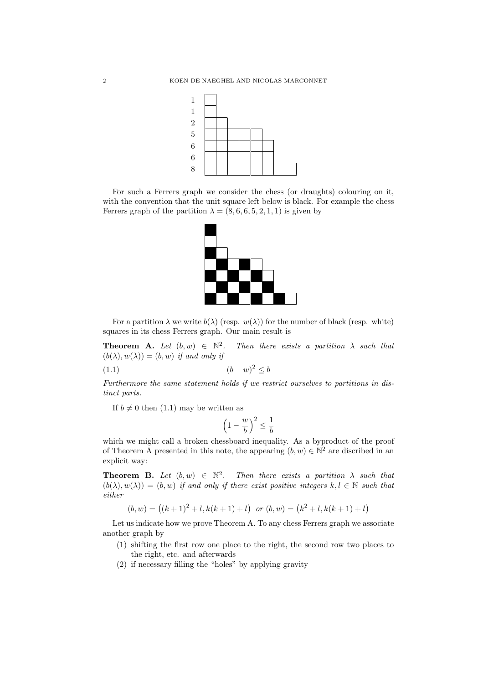

For such a Ferrers graph we consider the chess (or draughts) colouring on it, with the convention that the unit square left below is black. For example the chess Ferrers graph of the partition  $\lambda = (8, 6, 6, 5, 2, 1, 1)$  is given by



For a partition  $\lambda$  we write  $b(\lambda)$  (resp.  $w(\lambda)$ ) for the number of black (resp. white) squares in its chess Ferrers graph. Our main result is

**Theorem A.** Let  $(b, w) \in \mathbb{N}^2$ Then there exists a partition  $\lambda$  such that  $(b(\lambda), w(\lambda)) = (b, w)$  if and only if

$$
(1.1)\qquad \qquad (b-w)^2 \le b
$$

Furthermore the same statement holds if we restrict ourselves to partitions in distinct parts.

If  $b \neq 0$  then (1.1) may be written as

$$
\left(1 - \frac{w}{b}\right)^2 \le \frac{1}{b}
$$

which we might call a broken chessboard inequality. As a byproduct of the proof of Theorem A presented in this note, the appearing  $(b, w) \in \mathbb{N}^2$  are discribed in an explicit way:

**Theorem B.** Let  $(b, w) \in \mathbb{N}^2$ . Then there exists a partition  $\lambda$  such that  $(b(\lambda), w(\lambda)) = (b, w)$  if and only if there exist positive integers  $k, l \in \mathbb{N}$  such that either

$$
(b, w) = ((k + 1)^2 + l, k(k + 1) + l)
$$
 or  $(b, w) = (k^2 + l, k(k + 1) + l)$ 

Let us indicate how we prove Theorem A. To any chess Ferrers graph we associate another graph by

- (1) shifting the first row one place to the right, the second row two places to the right, etc. and afterwards
- (2) if necessary filling the "holes" by applying gravity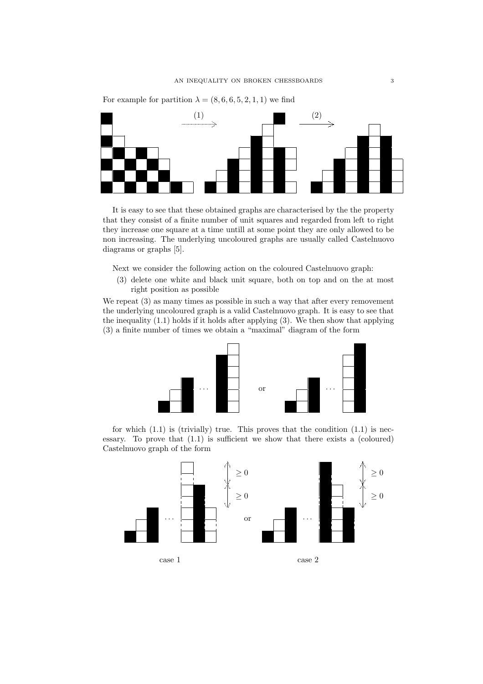

For example for partition  $\lambda = (8, 6, 6, 5, 2, 1, 1)$  we find

It is easy to see that these obtained graphs are characterised by the the property that they consist of a finite number of unit squares and regarded from left to right they increase one square at a time untill at some point they are only allowed to be non increasing. The underlying uncoloured graphs are usually called Castelnuovo diagrams or graphs [5].

Next we consider the following action on the coloured Castelnuovo graph:

(3) delete one white and black unit square, both on top and on the at most right position as possible

We repeat (3) as many times as possible in such a way that after every removement the underlying uncoloured graph is a valid Castelnuovo graph. It is easy to see that the inequality (1.1) holds if it holds after applying (3). We then show that applying (3) a finite number of times we obtain a "maximal" diagram of the form



for which  $(1.1)$  is (trivially) true. This proves that the condition  $(1.1)$  is necessary. To prove that (1.1) is sufficient we show that there exists a (coloured) Castelnuovo graph of the form

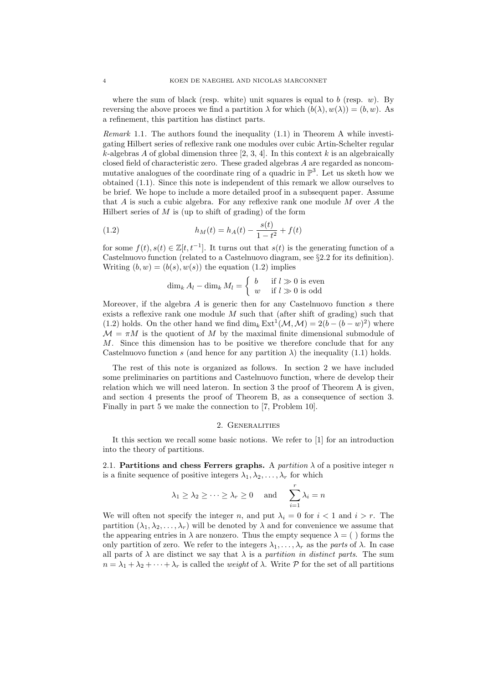where the sum of black (resp. white) unit squares is equal to b (resp.  $w$ ). By reversing the above proces we find a partition  $\lambda$  for which  $(b(\lambda), w(\lambda)) = (b, w)$ . As a refinement, this partition has distinct parts.

Remark 1.1. The authors found the inequality (1.1) in Theorem A while investigating Hilbert series of reflexive rank one modules over cubic Artin-Schelter regular k-algebras A of global dimension three  $[2, 3, 4]$ . In this context k is an algebraically closed field of characteristic zero. These graded algebras A are regarded as noncommutative analogues of the coordinate ring of a quadric in  $\mathbb{P}^3$ . Let us sketh how we obtained (1.1). Since this note is independent of this remark we allow ourselves to be brief. We hope to include a more detailed proof in a subsequent paper. Assume that A is such a cubic algebra. For any reflexive rank one module M over A the Hilbert series of  $M$  is (up to shift of grading) of the form

(1.2) 
$$
h_M(t) = h_A(t) - \frac{s(t)}{1 - t^2} + f(t)
$$

for some  $f(t), s(t) \in \mathbb{Z}[t, t^{-1}]$ . It turns out that  $s(t)$  is the generating function of a Castelnuovo function (related to a Castelnuovo diagram, see §2.2 for its definition). Writing  $(b, w) = (b(s), w(s))$  the equation (1.2) implies

$$
\dim_k A_l - \dim_k M_l = \begin{cases} b & \text{if } l \gg 0 \text{ is even} \\ w & \text{if } l \gg 0 \text{ is odd} \end{cases}
$$

Moreover, if the algebra  $A$  is generic then for any Castelnuovo function  $s$  there exists a reflexive rank one module  $M$  such that (after shift of grading) such that (1.2) holds. On the other hand we find  $\dim_k \text{Ext}^1(\mathcal{M}, \mathcal{M}) = 2(b - (b - w)^2)$  where  $\mathcal{M} = \pi M$  is the quotient of M by the maximal finite dimensional submodule of M. Since this dimension has to be positive we therefore conclude that for any Castelnuovo function s (and hence for any partition  $\lambda$ ) the inequality (1.1) holds.

The rest of this note is organized as follows. In section 2 we have included some preliminaries on partitions and Castelnuovo function, where de develop their relation which we will need lateron. In section 3 the proof of Theorem A is given, and section 4 presents the proof of Theorem B, as a consequence of section 3. Finally in part 5 we make the connection to [7, Problem 10].

# 2. Generalities

It this section we recall some basic notions. We refer to [1] for an introduction into the theory of partitions.

2.1. Partitions and chess Ferrers graphs. A partition  $\lambda$  of a positive integer n is a finite sequence of positive integers  $\lambda_1, \lambda_2, \ldots, \lambda_r$  for which

$$
\lambda_1 \geq \lambda_2 \geq \cdots \geq \lambda_r \geq 0
$$
 and  $\sum_{i=1}^r \lambda_i = n$ 

We will often not specify the integer n, and put  $\lambda_i = 0$  for  $i < 1$  and  $i > r$ . The partition  $(\lambda_1, \lambda_2, \ldots, \lambda_r)$  will be denoted by  $\lambda$  and for convenience we assume that the appearing entries in  $\lambda$  are nonzero. Thus the empty sequence  $\lambda = ($ ) forms the only partition of zero. We refer to the integers  $\lambda_1, \ldots, \lambda_r$  as the parts of  $\lambda$ . In case all parts of  $\lambda$  are distinct we say that  $\lambda$  is a *partition in distinct parts*. The sum  $n = \lambda_1 + \lambda_2 + \cdots + \lambda_r$  is called the *weight* of  $\lambda$ . Write P for the set of all partitions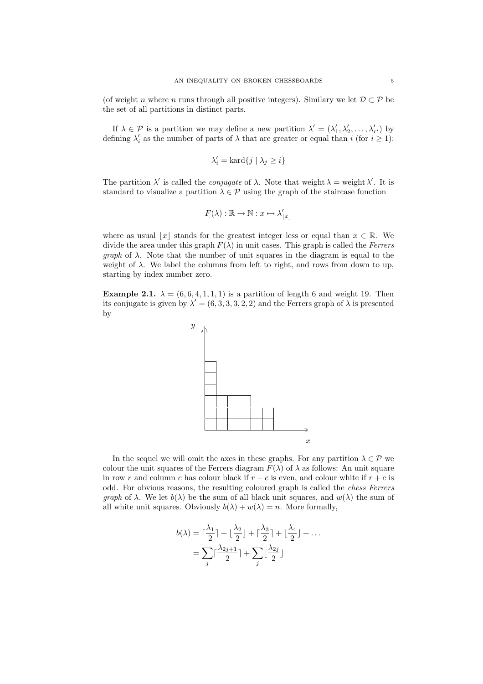(of weight n where n runs through all positive integers). Similary we let  $\mathcal{D} \subset \mathcal{P}$  be the set of all partitions in distinct parts.

If  $\lambda \in \mathcal{P}$  is a partition we may define a new partition  $\lambda' = (\lambda'_1, \lambda'_2, \dots, \lambda'_{r'})$  by defining  $\lambda'_i$  as the number of parts of  $\lambda$  that are greater or equal than i (for  $i \geq 1$ ):

$$
\lambda'_i = \text{kard}\{j \mid \lambda_j \geq i\}
$$

The partition  $\lambda'$  is called the *conjugate* of  $\lambda$ . Note that weight  $\lambda =$  weight  $\lambda'$ . It is standard to visualize a partition  $\lambda \in \mathcal{P}$  using the graph of the staircase function

$$
F(\lambda) : \mathbb{R} \to \mathbb{N} : x \mapsto \lambda'_{\lfloor x \rfloor}
$$

where as usual  $x \mid x$  stands for the greatest integer less or equal than  $x \in \mathbb{R}$ . We divide the area under this graph  $F(\lambda)$  in unit cases. This graph is called the Ferrers *graph* of  $\lambda$ . Note that the number of unit squares in the diagram is equal to the weight of  $\lambda$ . We label the columns from left to right, and rows from down to up, starting by index number zero.

Example 2.1.  $\lambda = (6, 6, 4, 1, 1, 1)$  is a partition of length 6 and weight 19. Then its conjugate is given by  $\lambda' = (6, 3, 3, 3, 2, 2)$  and the Ferrers graph of  $\lambda$  is presented by



In the sequel we will omit the axes in these graphs. For any partition  $\lambda \in \mathcal{P}$  we colour the unit squares of the Ferrers diagram  $F(\lambda)$  of  $\lambda$  as follows: An unit square in row r and column c has colour black if  $r + c$  is even, and colour white if  $r + c$  is odd. For obvious reasons, the resulting coloured graph is called the chess Ferrers graph of  $\lambda$ . We let  $b(\lambda)$  be the sum of all black unit squares, and  $w(\lambda)$  the sum of all white unit squares. Obviously  $b(\lambda) + w(\lambda) = n$ . More formally,

$$
b(\lambda) = \left\lceil \frac{\lambda_1}{2} \right\rceil + \left\lfloor \frac{\lambda_2}{2} \right\rfloor + \left\lceil \frac{\lambda_3}{2} \right\rceil + \left\lfloor \frac{\lambda_4}{2} \right\rfloor + \dots
$$

$$
= \sum_j \left\lceil \frac{\lambda_{2j+1}}{2} \right\rceil + \sum_j \left\lfloor \frac{\lambda_{2j}}{2} \right\rfloor
$$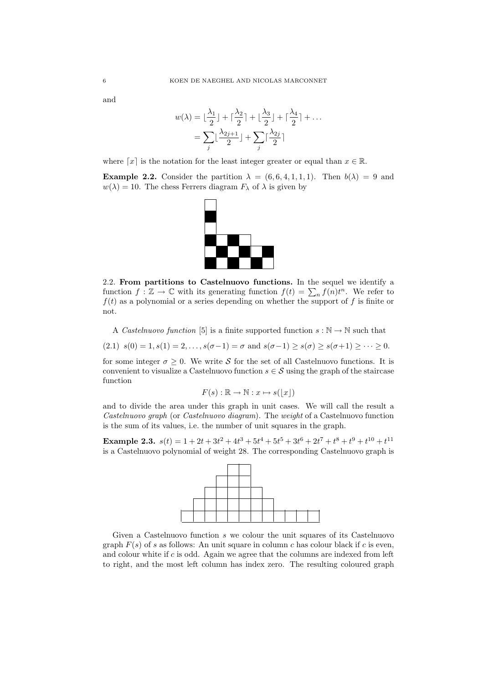and

$$
w(\lambda) = \lfloor \frac{\lambda_1}{2} \rfloor + \lceil \frac{\lambda_2}{2} \rceil + \lfloor \frac{\lambda_3}{2} \rfloor + \lceil \frac{\lambda_4}{2} \rceil + \dots
$$

$$
= \sum_j \lfloor \frac{\lambda_{2j+1}}{2} \rfloor + \sum_j \lceil \frac{\lambda_{2j}}{2} \rceil
$$

where [x] is the notation for the least integer greater or equal than  $x \in \mathbb{R}$ .

**Example 2.2.** Consider the partition  $\lambda = (6, 6, 4, 1, 1, 1)$ . Then  $b(\lambda) = 9$  and  $w(\lambda) = 10$ . The chess Ferrers diagram  $F_{\lambda}$  of  $\lambda$  is given by



2.2. From partitions to Castelnuovo functions. In the sequel we identify a function  $f : \mathbb{Z} \to \mathbb{C}$  with its generating function  $f(t) = \sum_n f(n)t^n$ . We refer to  $f(t)$  as a polynomial or a series depending on whether the support of f is finite or not.

A Castelnuovo function [5] is a finite supported function  $s : \mathbb{N} \to \mathbb{N}$  such that

(2.1)  $s(0) = 1, s(1) = 2, \ldots, s(\sigma-1) = \sigma$  and  $s(\sigma-1) \geq s(\sigma) \geq s(\sigma+1) \geq \cdots \geq 0$ .

for some integer  $\sigma \geq 0$ . We write S for the set of all Castelnuovo functions. It is convenient to visualize a Castelnuovo function  $s \in \mathcal{S}$  using the graph of the staircase function

$$
F(s) : \mathbb{R} \to \mathbb{N} : x \mapsto s(\lfloor x \rfloor)
$$

and to divide the area under this graph in unit cases. We will call the result a Castelnuovo graph (or Castelnuovo diagram). The weight of a Castelnuovo function is the sum of its values, i.e. the number of unit squares in the graph.

Example 2.3.  $s(t) = 1 + 2t + 3t^2 + 4t^3 + 5t^4 + 5t^5 + 3t^6 + 2t^7 + t^8 + t^9 + t^{10} + t^{11}$ is a Castelnuovo polynomial of weight 28. The corresponding Castelnuovo graph is



Given a Castelnuovo function s we colour the unit squares of its Castelnuovo graph  $F(s)$  of s as follows: An unit square in column c has colour black if c is even, and colour white if  $c$  is odd. Again we agree that the columns are indexed from left to right, and the most left column has index zero. The resulting coloured graph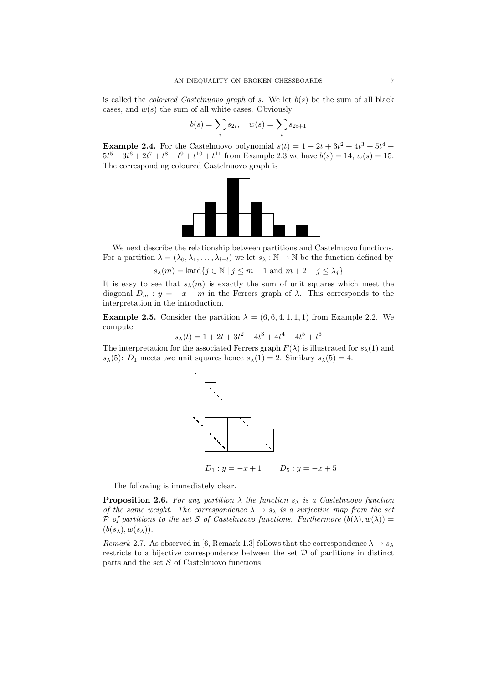is called the *coloured Castelnuovo graph* of s. We let  $b(s)$  be the sum of all black cases, and  $w(s)$  the sum of all white cases. Obviously

$$
b(s) = \sum_{i} s_{2i}, \quad w(s) = \sum_{i} s_{2i+1}
$$

**Example 2.4.** For the Castelnuovo polynomial  $s(t) = 1 + 2t + 3t^2 + 4t^3 + 5t^4 +$  $5t^5 + 3t^6 + 2t^7 + t^8 + t^9 + t^{10} + t^{11}$  from Example 2.3 we have  $b(s) = 14$ ,  $w(s) = 15$ . The corresponding coloured Castelnuovo graph is



We next describe the relationship between partitions and Castelnuovo functions. For a partition  $\lambda = (\lambda_0, \lambda_1, \ldots, \lambda_{l-1})$  we let  $s_{\lambda} : \mathbb{N} \to \mathbb{N}$  be the function defined by

 $s_{\lambda}(m) = \text{kard}\{j \in \mathbb{N} \mid j \leq m+1 \text{ and } m+2-j \leq \lambda_j\}$ 

It is easy to see that  $s_{\lambda}(m)$  is exactly the sum of unit squares which meet the diagonal  $D_m : y = -x + m$  in the Ferrers graph of  $\lambda$ . This corresponds to the interpretation in the introduction.

**Example 2.5.** Consider the partition  $\lambda = (6, 6, 4, 1, 1, 1)$  from Example 2.2. We compute

$$
s_{\lambda}(t) = 1 + 2t + 3t^2 + 4t^3 + 4t^4 + 4t^5 + t^6
$$

The interpretation for the associated Ferrers graph  $F(\lambda)$  is illustrated for  $s_{\lambda}(1)$  and  $s_{\lambda}(5)$ :  $D_1$  meets two unit squares hence  $s_{\lambda}(1) = 2$ . Similary  $s_{\lambda}(5) = 4$ .



The following is immediately clear.

**Proposition 2.6.** For any partition  $\lambda$  the function  $s_{\lambda}$  is a Castelnuovo function of the same weight. The correspondence  $\lambda \mapsto s_\lambda$  is a surjective map from the set P of partitions to the set S of Castelnuovo functions. Furthermore  $(b(\lambda), w(\lambda)) =$  $(b(s_\lambda), w(s_\lambda)).$ 

Remark 2.7. As observed in [6, Remark 1.3] follows that the correspondence  $\lambda \mapsto s_{\lambda}$ restricts to a bijective correspondence between the set  $\mathcal D$  of partitions in distinct parts and the set  $S$  of Castelnuovo functions.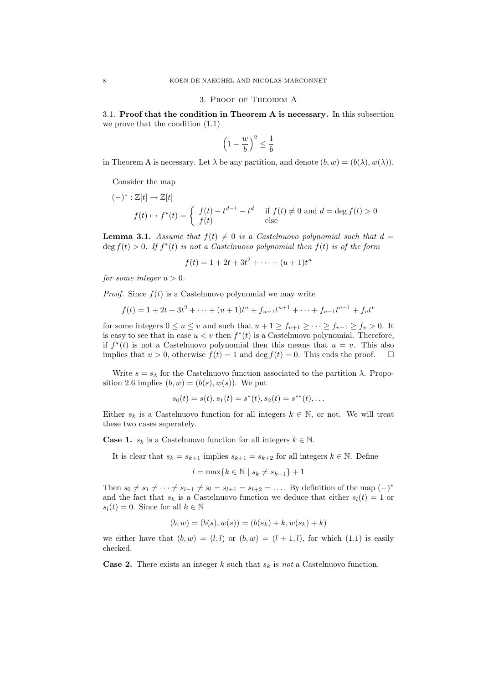#### 3. Proof of Theorem A

3.1. Proof that the condition in Theorem A is necessary. In this subsection we prove that the condition (1.1)

$$
\left(1 - \frac{w}{b}\right)^2 \le \frac{1}{b}
$$

in Theorem A is necessary. Let  $\lambda$  be any partition, and denote  $(b, w) = (b(\lambda), w(\lambda))$ .

Consider the map

$$
(-)^{*}: \mathbb{Z}[t] \to \mathbb{Z}[t]
$$
  

$$
f(t) \mapsto f^{*}(t) = \begin{cases} f(t) - t^{d-1} - t^{d} & \text{if } f(t) \neq 0 \text{ and } d = \deg f(t) > 0\\ f(t) & \text{else} \end{cases}
$$

**Lemma 3.1.** Assume that  $f(t) \neq 0$  is a Castelnuovo polynomial such that  $d =$  $\deg f(t) > 0$ . If  $f^*(t)$  is not a Castelnuovo polynomial then  $f(t)$  is of the form

 $f(t) = 1 + 2t + 3t^2 + \cdots + (u+1)t^u$ 

for some integer  $u > 0$ .

*Proof.* Since  $f(t)$  is a Castelnuovo polynomial we may write

$$
f(t) = 1 + 2t + 3t2 + \dots + (u+1)tu + fu+1tu+1 + \dots + fv-1tv-1 + fvtv
$$

for some integers  $0 \le u \le v$  and such that  $u + 1 \ge f_{u+1} \ge \cdots \ge f_{v-1} \ge f_v > 0$ . It is easy to see that in case  $u < v$  then  $f^*(t)$  is a Castelnuovo polynomial. Therefore, if  $f^*(t)$  is not a Castelnuovo polynomial then this means that  $u = v$ . This also implies that  $u > 0$ , otherwise  $f(t) = 1$  and deg  $f(t) = 0$ . This ends the proof.  $\Box$ 

Write  $s = s_{\lambda}$  for the Castelnuovo function associated to the partition  $\lambda$ . Proposition 2.6 implies  $(b, w) = (b(s), w(s))$ . We put

$$
s_0(t) = s(t), s_1(t) = s^*(t), s_2(t) = s^{**}(t), \dots
$$

Either  $s_k$  is a Castelnuovo function for all integers  $k \in \mathbb{N}$ , or not. We will treat these two cases seperately.

**Case 1.**  $s_k$  is a Castelnuovo function for all integers  $k \in \mathbb{N}$ .

It is clear that  $s_k = s_{k+1}$  implies  $s_{k+1} = s_{k+2}$  for all integers  $k \in \mathbb{N}$ . Define

$$
l = \max\{k \in \mathbb{N} \mid s_k \neq s_{k+1}\} + 1
$$

Then  $s_0 \neq s_1 \neq \cdots \neq s_{l-1} \neq s_l = s_{l+1} = s_{l+2} = \ldots$  By definition of the map  $(-)^*$ and the fact that  $s_k$  is a Castelnuovo function we deduce that either  $s_l(t) = 1$  or  $s_l(t) = 0$ . Since for all  $k \in \mathbb{N}$ 

$$
(b, w) = (b(s), w(s)) = (b(s_k) + k, w(s_k) + k)
$$

we either have that  $(b, w) = (l, l)$  or  $(b, w) = (l + 1, l)$ , for which  $(1.1)$  is easily checked.

**Case 2.** There exists an integer k such that  $s_k$  is not a Castelnuovo function.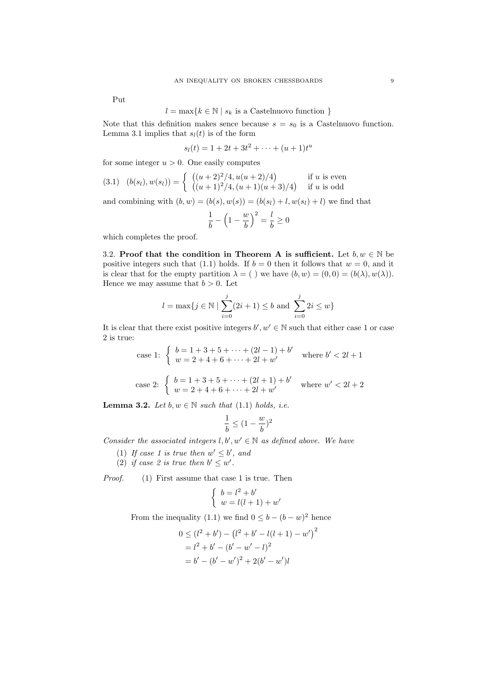Put

$$
l = \max\{k \in \mathbb{N} \mid s_k \text{ is a Castelnuovo function }\}
$$

Note that this definition makes sence because  $s = s_0$  is a Castelnuovo function. Lemma 3.1 implies that  $s_l(t)$  is of the form

$$
s_l(t) = 1 + 2t + 3t^2 + \dots + (u+1)t^u
$$

for some integer  $u > 0$ . One easily computes

$$
(3.1) \quad (b(s_l), w(s_l)) = \begin{cases} ((u+2)^2/4, u(u+2)/4) & \text{if } u \text{ is even} \\ ((u+1)^2/4, (u+1)(u+3)/4) & \text{if } u \text{ is odd} \end{cases}
$$

and combining with  $(b, w) = (b(s), w(s)) = (b(s_l) + l, w(s_l) + l)$  we find that

$$
\frac{1}{b} - \left(1 - \frac{w}{b}\right)^2 = \frac{l}{b} \ge 0
$$

which completes the proof.

3.2. Proof that the condition in Theorem A is sufficient. Let  $b, w \in \mathbb{N}$  be positive integers such that (1.1) holds. If  $b = 0$  then it follows that  $w = 0$ , and it is clear that for the empty partition  $\lambda = ($ ) we have  $(b, w) = (0, 0) = (b(\lambda), w(\lambda)).$ Hence we may assume that  $b > 0$ . Let

$$
l = \max\{j \in \mathbb{N} \mid \sum_{i=0}^{j} (2i+1) \leq b \text{ and } \sum_{i=0}^{j} 2i \leq w\}
$$

It is clear that there exist positive integers  $b', w' \in \mathbb{N}$  such that either case 1 or case 2 is true:

case 1: 
$$
\begin{cases} b = 1 + 3 + 5 + \dots + (2l - 1) + b' \\ w = 2 + 4 + 6 + \dots + 2l + w' \end{cases}
$$
 where  $b' < 2l + 1$   
case 2: 
$$
\begin{cases} b = 1 + 3 + 5 + \dots + (2l + 1) + b' \\ w = 2 + 4 + 6 + \dots + 2l + w' \end{cases}
$$
 where  $w' < 2l + 2$ 

**Lemma 3.2.** Let  $b, w \in \mathbb{N}$  such that (1.1) holds, i.e.

$$
\frac{1}{b} \le (1 - \frac{w}{b})^2
$$

Consider the associated integers  $l, b', w' \in \mathbb{N}$  as defined above. We have

- (1) If case 1 is true then  $w' \leq b'$ , and
- (2) if case 2 is true then  $b' \leq w'$ .

Proof. (1) First assume that case 1 is true. Then

$$
\begin{cases}\nb = l^2 + b' \\
w = l(l+1) + w'\n\end{cases}
$$

From the inequality (1.1) we find  $0 \leq b - (b - w)^2$  hence

$$
0 \le (l^2 + b') - (l^2 + b' - l(l+1) - w')^2
$$
  
=  $l^2 + b' - (b' - w' - l)^2$   
=  $b' - (b' - w')^2 + 2(b' - w')l$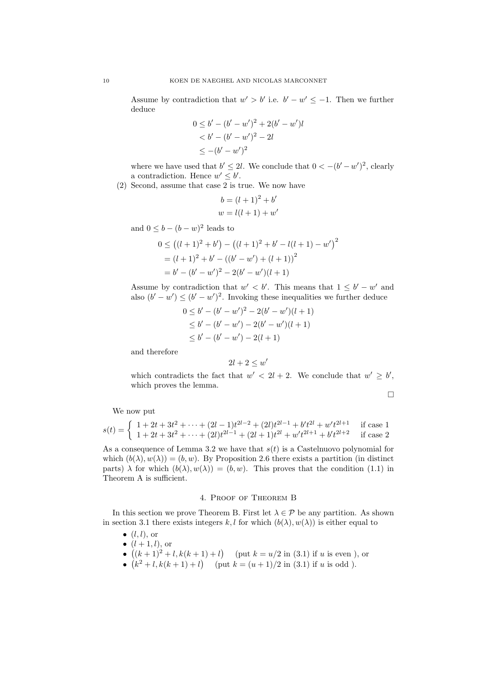Assume by contradiction that  $w' > b'$  i.e.  $b' - w' \leq -1$ . Then we further deduce

$$
0 \le b' - (b' - w')^{2} + 2(b' - w')l
$$
  

$$
< b' - (b' - w')^{2} - 2l
$$
  

$$
\le -(b' - w')^{2}
$$

where we have used that  $b' \leq 2l$ . We conclude that  $0 < -(b'-w')^2$ , clearly a contradiction. Hence  $w' \leq b'$ .

(2) Second, assume that case 2 is true. We now have

$$
b = (l+1)2 + b'
$$

$$
w = l(l+1) + w'
$$

and  $0 \leq b - (b - w)^2$  leads to

$$
0 \le ((l+1)^2 + b') - ((l+1)^2 + b' - l(l+1) - w')^2
$$
  
=  $(l+1)^2 + b' - ((b' - w') + (l+1))^2$   
=  $b' - (b' - w')^2 - 2(b' - w')(l+1)$ 

Assume by contradiction that  $w' < b'$ . This means that  $1 \leq b' - w'$  and also  $(b'-w') \leq (b'-w')^2$ . Invoking these inequalities we further deduce

$$
0 \le b' - (b' - w')^{2} - 2(b' - w')(l + 1)
$$
  
\n
$$
\le b' - (b' - w') - 2(b' - w')(l + 1)
$$
  
\n
$$
\le b' - (b' - w') - 2(l + 1)
$$

and therefore

$$
2l+2\leq w'
$$

which contradicts the fact that  $w' < 2l + 2$ . We conclude that  $w' \geq b'$ , which proves the lemma.

$$
\Box
$$

We now put

$$
s(t) = \begin{cases} 1 + 2t + 3t^2 + \dots + (2l - 1)t^{2l - 2} + (2l)t^{2l - 1} + b't^{2l} + w't^{2l + 1} & \text{if case 1} \\ 1 + 2t + 3t^2 + \dots + (2l)t^{2l - 1} + (2l + 1)t^{2l} + w't^{2l + 1} + b't^{2l + 2} & \text{if case 2} \end{cases}
$$

As a consequence of Lemma 3.2 we have that  $s(t)$  is a Castelnuovo polynomial for which  $(b(\lambda), w(\lambda)) = (b, w)$ . By Proposition 2.6 there exists a partition (in distinct parts)  $\lambda$  for which  $(b(\lambda), w(\lambda)) = (b, w)$ . This proves that the condition (1.1) in Theorem A is sufficient.

## 4. Proof of Theorem B

In this section we prove Theorem B. First let  $\lambda \in \mathcal{P}$  be any partition. As shown in section 3.1 there exists integers k, l for which  $(b(\lambda), w(\lambda))$  is either equal to

- $\bullet$   $(l, l)$ , or
- $\bullet$   $(l+1, l)$ , or
- $((k+1)^2 + l, k(k+1) + l)$  (put  $k = u/2$  in (3.1) if u is even ), or
- $(k^2 + l, k(k+1) + l)$  (put  $k = (u+1)/2$  in (3.1) if u is odd).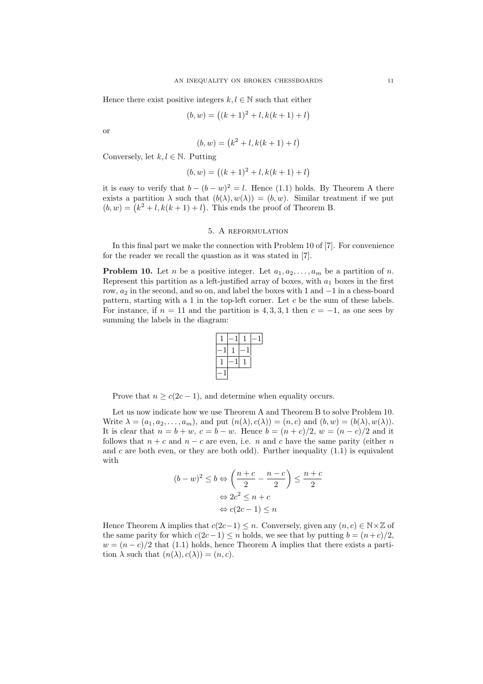Hence there exist positive integers  $k, l \in \mathbb{N}$  such that either

$$
(b, w) = ((k + 1)^{2} + l, k(k + 1) + l)
$$

or

$$
(b, w) = (k2 + l, k(k + 1) + l)
$$

Conversely, let  $k, l \in \mathbb{N}$ . Putting

$$
(b, w) = ((k + 1)2 + l, k(k + 1) + l)
$$

it is easy to verify that  $b - (b - w)^2 = l$ . Hence (1.1) holds. By Theorem A there exists a partition  $\lambda$  such that  $(b(\lambda), w(\lambda)) = (b, w)$ . Similar treatment if we put  $(b, w) = (k^2 + l, k(k + 1) + l)$ . This ends the proof of Theorem B.

# 5. A reformulation

In this final part we make the connection with Problem 10 of [7]. For convenience for the reader we recall the quastion as it was stated in [7].

**Problem 10.** Let *n* be a positive integer. Let  $a_1, a_2, \ldots, a_m$  be a partition of *n*. Represent this partition as a left-justified array of boxes, with  $a_1$  boxes in the first row,  $a_2$  in the second, and so on, and label the boxes with 1 and  $-1$  in a chess-board pattern, starting with a 1 in the top-left corner. Let c be the sum of these labels. For instance, if  $n = 11$  and the partition is 4, 3, 3, 1 then  $c = -1$ , as one sees by summing the labels in the diagram:



Prove that  $n > c(2c - 1)$ , and determine when equality occurs.

Let us now indicate how we use Theorem A and Theorem B to solve Problem 10. Write  $\lambda = (a_1, a_2, \dots, a_m)$ , and put  $(n(\lambda), c(\lambda)) = (n, c)$  and  $(b, w) = (b(\lambda), w(\lambda))$ . It is clear that  $n = b + w$ ,  $c = b - w$ . Hence  $b = (n + c)/2$ ,  $w = (n - c)/2$  and it follows that  $n + c$  and  $n - c$  are even, i.e. n and c have the same parity (either n and c are both even, or they are both odd). Further inequality  $(1.1)$  is equivalent with

$$
(b-w)^2 \le b \Leftrightarrow \left(\frac{n+c}{2} - \frac{n-c}{2}\right) \le \frac{n+c}{2}
$$

$$
\Leftrightarrow 2c^2 \le n+c
$$

$$
\Leftrightarrow c(2c-1) \le n
$$

Hence Theorem A implies that  $c(2c-1) \leq n$ . Conversely, given any  $(n, c) \in \mathbb{N} \times \mathbb{Z}$  of the same parity for which  $c(2c-1) \leq n$  holds, we see that by putting  $b = (n+c)/2$ ,  $w = (n - c)/2$  that (1.1) holds, hence Theorem A implies that there exists a partition  $\lambda$  such that  $(n(\lambda), c(\lambda)) = (n, c)$ .